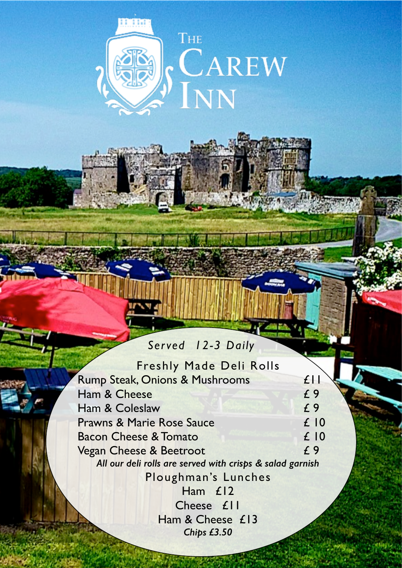

## *Served 12-3 Daily*

Freshly Made Deli Rolls Rump Steak, Onions & Mushrooms £11 Ham & Cheese  $f$  9 Ham & Coleslaw E 9<br>
Prawns & Marie Rose Sauce E 10 Prawns & Marie Rose Sauce Bacon Cheese & Tomato 6 and 2 10 Vegan Cheese & Beetroot  $f$ 9 *All our deli rolls are served with crisps & salad garnish* Ploughman's Lunches Ham £12 Cheese £11 Ham & Cheese £13 *Chips £3.50*